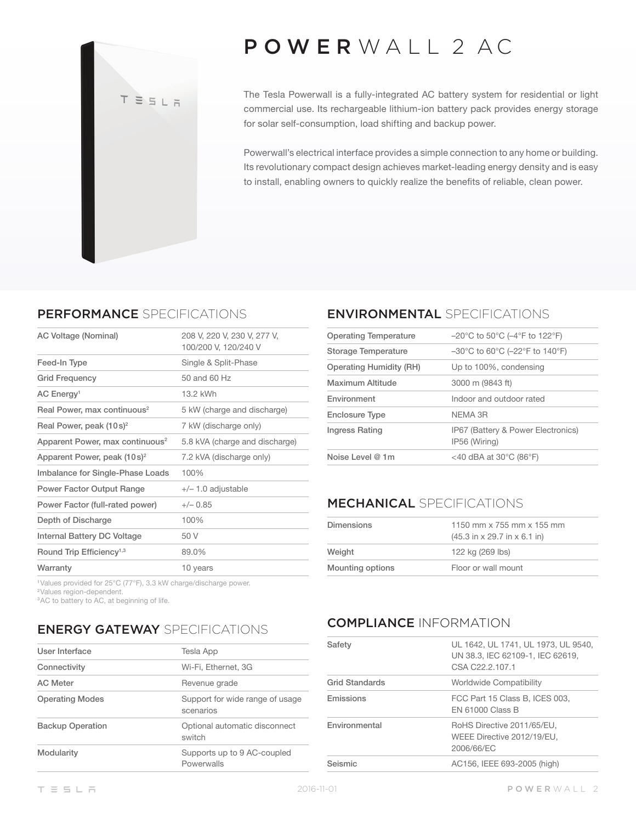

# POWER WALL 2 AC

The Tesla Powerwall is a fully-integrated AC battery system for residential or light commercial use. Its rechargeable lithium-ion battery pack provides energy storage for solar self-consumption, load shifting and backup power.

Powerwall's electrical interface provides a simple connection to any home or building. Its revolutionary compact design achieves market-leading energy density and is easy to install, enabling owners to quickly realize the benefits of reliable, clean power.

#### PERFORMANCE SPECIFICATIONS

| AC Voltage (Nominal)                        | 208 V, 220 V, 230 V, 277 V,<br>100/200 V, 120/240 V |
|---------------------------------------------|-----------------------------------------------------|
| Feed-In Type                                | Single & Split-Phase                                |
| <b>Grid Frequency</b>                       | 50 and 60 Hz                                        |
| AC Energy <sup>1</sup>                      | 13.2 kWh                                            |
| Real Power, max continuous <sup>2</sup>     | 5 kW (charge and discharge)                         |
| Real Power, peak $(10s)^2$                  | 7 kW (discharge only)                               |
| Apparent Power, max continuous <sup>2</sup> | 5.8 kVA (charge and discharge)                      |
| Apparent Power, peak $(10s)^2$              | 7.2 kVA (discharge only)                            |
| Imbalance for Single-Phase Loads            | 100%                                                |
| <b>Power Factor Output Range</b>            | $+/- 1.0$ adjustable                                |
| Power Factor (full-rated power)             | $+/- 0.85$                                          |
| Depth of Discharge                          | 100%                                                |
| Internal Battery DC Voltage                 | 50 V                                                |
| Round Trip Efficiency <sup>1,3</sup>        | 89.0%                                               |
| Warranty                                    | 10 years                                            |

#### ENVIRONMENTAL SPECIFICATIONS

| <b>Operating Temperature</b> | $-20^{\circ}$ C to 50 $^{\circ}$ C (-4 $^{\circ}$ F to 122 $^{\circ}$ F)  |
|------------------------------|---------------------------------------------------------------------------|
| Storage Temperature          | $-30^{\circ}$ C to 60 $^{\circ}$ C ( $-22^{\circ}$ F to 140 $^{\circ}$ F) |
| Operating Humidity (RH)      | Up to 100%, condensing                                                    |
| Maximum Altitude             | 3000 m (9843 ft)                                                          |
| Environment                  | Indoor and outdoor rated                                                  |
| <b>Enclosure Type</b>        | NFMA 3R                                                                   |
| Ingress Rating               | IP67 (Battery & Power Electronics)<br>IP56 (Wiring)                       |
| Noise Level @ 1m             | <40 dBA at 30 $^{\circ}$ C (86 $^{\circ}$ F)                              |
|                              |                                                                           |

#### MECHANICAL SPECIFICATIONS

| Dimensions              | 1150 mm x 755 mm x 155 mm<br>$(45.3 \text{ in} \times 29.7 \text{ in} \times 6.1 \text{ in})$ |
|-------------------------|-----------------------------------------------------------------------------------------------|
| Weight                  | 122 kg (269 lbs)                                                                              |
| <b>Mounting options</b> | Floor or wall mount                                                                           |

<sup>1</sup>Values provided for 25°C (77°F), 3.3 kW charge/discharge power.

<sup>2</sup>Values region-dependent.

<sup>3</sup>AC to battery to AC, at beginning of life.

## ENERGY GATEWAY SPECIFICATIONS

| User Interface          | Tesla App                                    |
|-------------------------|----------------------------------------------|
| Connectivity            | Wi-Fi, Ethernet, 3G                          |
| <b>AC Meter</b>         | Revenue grade                                |
| <b>Operating Modes</b>  | Support for wide range of usage<br>scenarios |
| <b>Backup Operation</b> | Optional automatic disconnect<br>switch      |
| Modularity              | Supports up to 9 AC-coupled<br>Powerwalls    |
|                         |                                              |

## COMPLIANCE INFORMATION

| Safety                | UL 1642, UL 1741, UL 1973, UL 9540,<br>UN 38.3, IEC 62109-1, IEC 62619,<br>CSA C22.2.107.1 |
|-----------------------|--------------------------------------------------------------------------------------------|
| <b>Grid Standards</b> | Worldwide Compatibility                                                                    |
| Emissions             | FCC Part 15 Class B, ICES 003,<br><b>FN 61000 Class B</b>                                  |
| Environmental         | RoHS Directive 2011/65/EU,<br>WEEE Directive 2012/19/EU,<br>2006/66/EC                     |
| Seismic               | AC156, IEEE 693-2005 (high)                                                                |